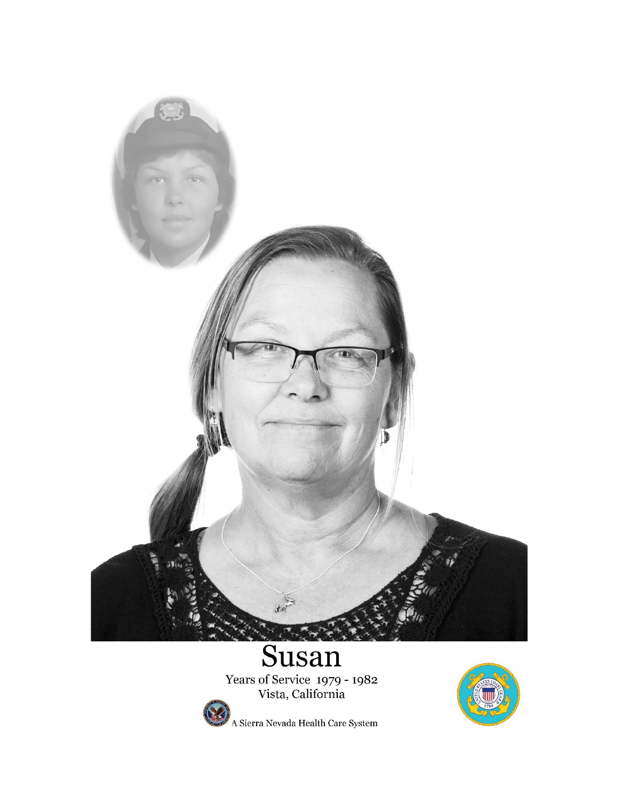

Years of Service 1979 - 1982<br>Vista, California



A Sierra Nevada Health Care System

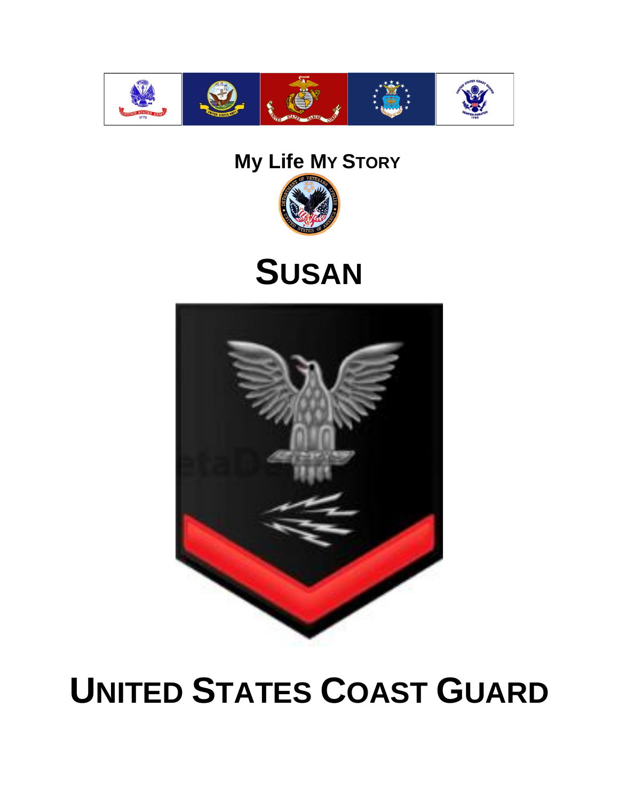

### **My Life MY STORY**



## **SUSAN**



# **UNITED STATES COAST GUARD**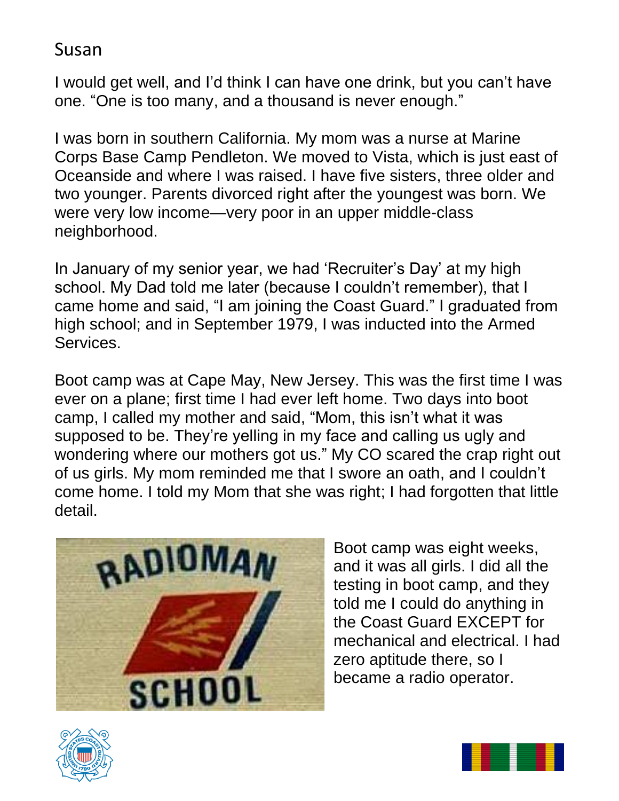I would get well, and I'd think I can have one drink, but you can't have one. "One is too many, and a thousand is never enough."

I was born in southern California. My mom was a nurse at Marine Corps Base Camp Pendleton. We moved to Vista, which is just east of Oceanside and where I was raised. I have five sisters, three older and two younger. Parents divorced right after the youngest was born. We were very low income—very poor in an upper middle-class neighborhood.

In January of my senior year, we had 'Recruiter's Day' at my high school. My Dad told me later (because I couldn't remember), that I came home and said, "I am joining the Coast Guard." I graduated from high school; and in September 1979, I was inducted into the Armed Services.

Boot camp was at Cape May, New Jersey. This was the first time I was ever on a plane; first time I had ever left home. Two days into boot camp, I called my mother and said, "Mom, this isn't what it was supposed to be. They're yelling in my face and calling us ugly and wondering where our mothers got us." My CO scared the crap right out of us girls. My mom reminded me that I swore an oath, and I couldn't come home. I told my Mom that she was right; I had forgotten that little detail.



Boot camp was eight weeks, and it was all girls. I did all the testing in boot camp, and they told me I could do anything in the Coast Guard EXCEPT for mechanical and electrical. I had zero aptitude there, so I became a radio operator.



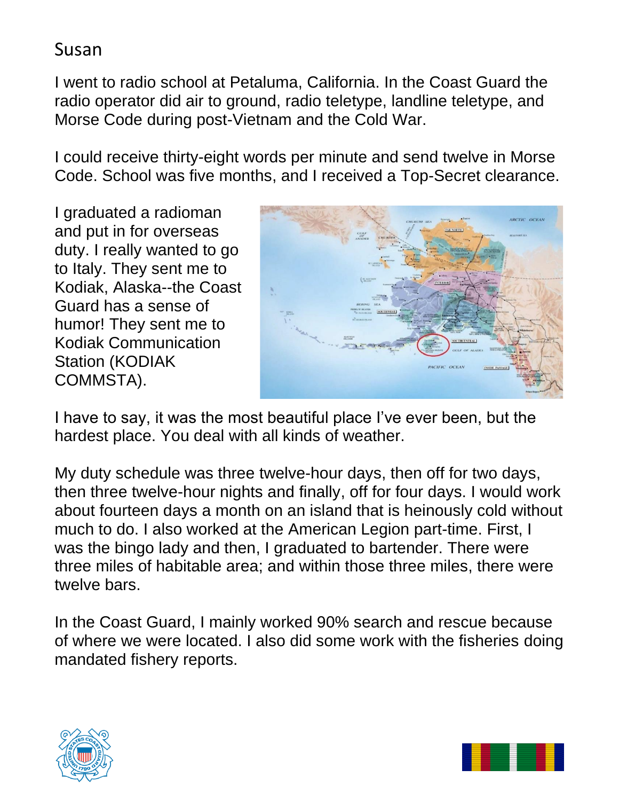I went to radio school at Petaluma, California. In the Coast Guard the radio operator did air to ground, radio teletype, landline teletype, and Morse Code during post-Vietnam and the Cold War.

I could receive thirty-eight words per minute and send twelve in Morse Code. School was five months, and I received a Top-Secret clearance.

I graduated a radioman and put in for overseas duty. I really wanted to go to Italy. They sent me to Kodiak, Alaska--the Coast Guard has a sense of humor! They sent me to Kodiak Communication Station (KODIAK COMMSTA).



I have to say, it was the most beautiful place I've ever been, but the hardest place. You deal with all kinds of weather.

My duty schedule was three twelve-hour days, then off for two days, then three twelve-hour nights and finally, off for four days. I would work about fourteen days a month on an island that is heinously cold without much to do. I also worked at the American Legion part-time. First, I was the bingo lady and then, I graduated to bartender. There were three miles of habitable area; and within those three miles, there were twelve bars.

In the Coast Guard, I mainly worked 90% search and rescue because of where we were located. I also did some work with the fisheries doing mandated fishery reports.



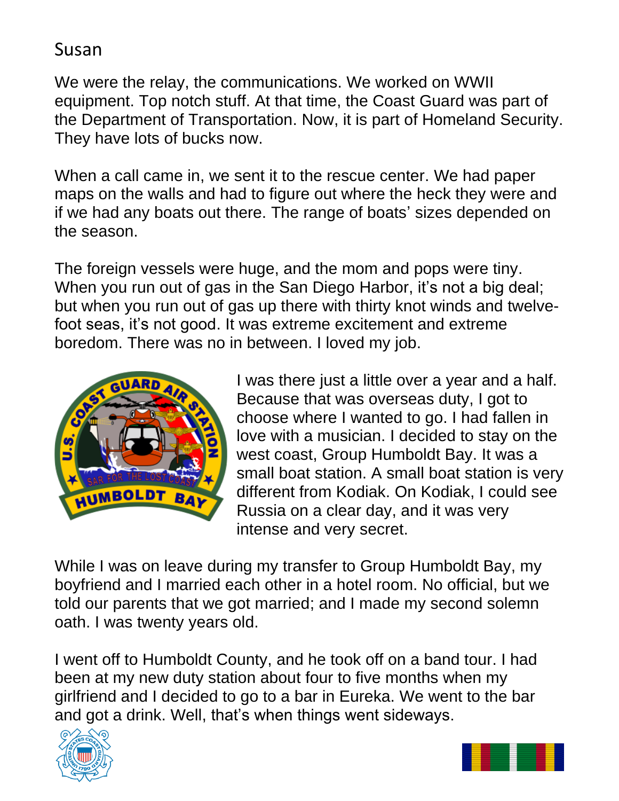We were the relay, the communications. We worked on WWII equipment. Top notch stuff. At that time, the Coast Guard was part of the Department of Transportation. Now, it is part of Homeland Security. They have lots of bucks now.

When a call came in, we sent it to the rescue center. We had paper maps on the walls and had to figure out where the heck they were and if we had any boats out there. The range of boats' sizes depended on the season.

The foreign vessels were huge, and the mom and pops were tiny. When you run out of gas in the San Diego Harbor, it's not a big deal; but when you run out of gas up there with thirty knot winds and twelvefoot seas, it's not good. It was extreme excitement and extreme boredom. There was no in between. I loved my job.



I was there just a little over a year and a half. Because that was overseas duty, I got to choose where I wanted to go. I had fallen in love with a musician. I decided to stay on the west coast, Group Humboldt Bay. It was a small boat station. A small boat station is very different from Kodiak. On Kodiak, I could see Russia on a clear day, and it was very intense and very secret.

While I was on leave during my transfer to Group Humboldt Bay, my boyfriend and I married each other in a hotel room. No official, but we told our parents that we got married; and I made my second solemn oath. I was twenty years old.

I went off to Humboldt County, and he took off on a band tour. I had been at my new duty station about four to five months when my girlfriend and I decided to go to a bar in Eureka. We went to the bar and got a drink. Well, that's when things went sideways.



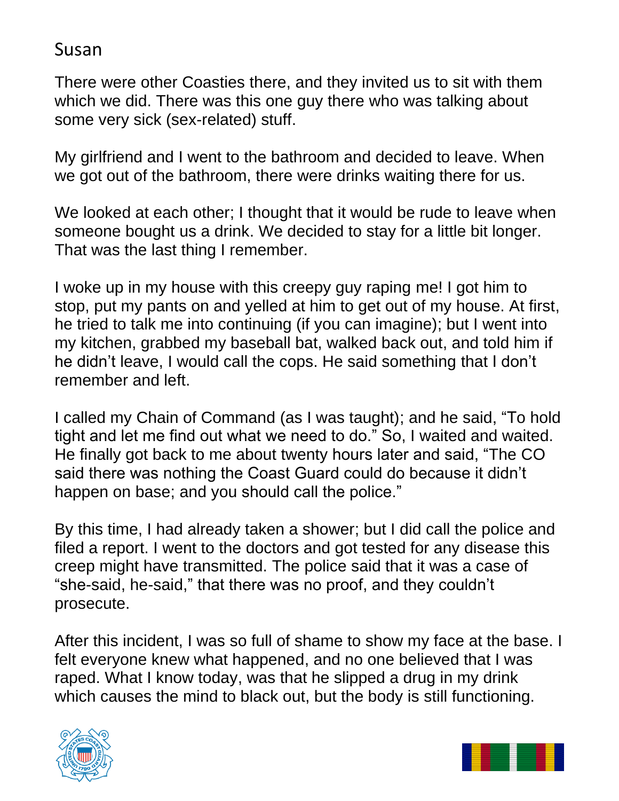There were other Coasties there, and they invited us to sit with them which we did. There was this one guy there who was talking about some very sick (sex-related) stuff.

My girlfriend and I went to the bathroom and decided to leave. When we got out of the bathroom, there were drinks waiting there for us.

We looked at each other; I thought that it would be rude to leave when someone bought us a drink. We decided to stay for a little bit longer. That was the last thing I remember.

I woke up in my house with this creepy guy raping me! I got him to stop, put my pants on and yelled at him to get out of my house. At first, he tried to talk me into continuing (if you can imagine); but I went into my kitchen, grabbed my baseball bat, walked back out, and told him if he didn't leave, I would call the cops. He said something that I don't remember and left.

I called my Chain of Command (as I was taught); and he said, "To hold tight and let me find out what we need to do." So, I waited and waited. He finally got back to me about twenty hours later and said, "The CO said there was nothing the Coast Guard could do because it didn't happen on base; and you should call the police."

By this time, I had already taken a shower; but I did call the police and filed a report. I went to the doctors and got tested for any disease this creep might have transmitted. The police said that it was a case of "she-said, he-said," that there was no proof, and they couldn't prosecute.

After this incident, I was so full of shame to show my face at the base. I felt everyone knew what happened, and no one believed that I was raped. What I know today, was that he slipped a drug in my drink which causes the mind to black out, but the body is still functioning.



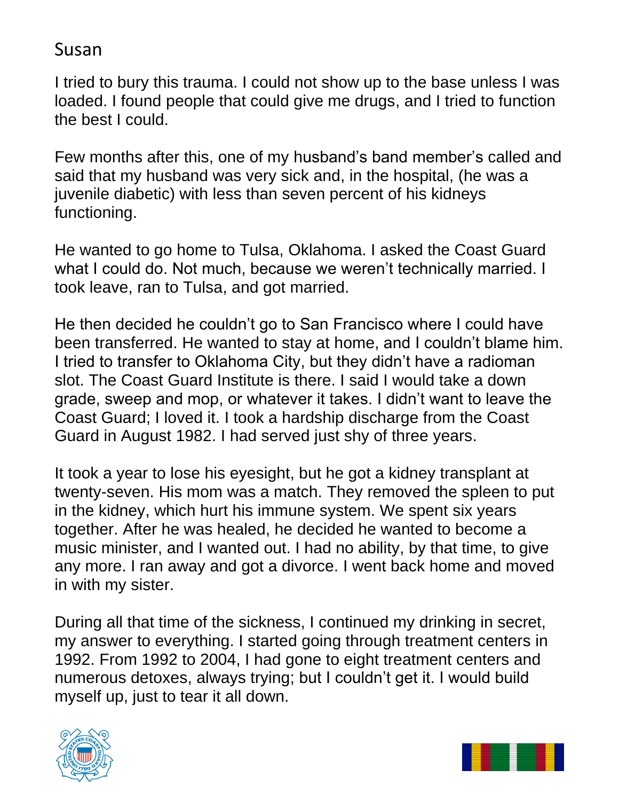I tried to bury this trauma. I could not show up to the base unless I was loaded. I found people that could give me drugs, and I tried to function the best I could.

Few months after this, one of my husband's band member's called and said that my husband was very sick and, in the hospital, (he was a juvenile diabetic) with less than seven percent of his kidneys functioning.

He wanted to go home to Tulsa, Oklahoma. I asked the Coast Guard what I could do. Not much, because we weren't technically married. I took leave, ran to Tulsa, and got married.

He then decided he couldn't go to San Francisco where I could have been transferred. He wanted to stay at home, and I couldn't blame him. I tried to transfer to Oklahoma City, but they didn't have a radioman slot. The Coast Guard Institute is there. I said I would take a down grade, sweep and mop, or whatever it takes. I didn't want to leave the Coast Guard; I loved it. I took a hardship discharge from the Coast Guard in August 1982. I had served just shy of three years.

It took a year to lose his eyesight, but he got a kidney transplant at twenty-seven. His mom was a match. They removed the spleen to put in the kidney, which hurt his immune system. We spent six years together. After he was healed, he decided he wanted to become a music minister, and I wanted out. I had no ability, by that time, to give any more. I ran away and got a divorce. I went back home and moved in with my sister.

During all that time of the sickness, I continued my drinking in secret, my answer to everything. I started going through treatment centers in 1992. From 1992 to 2004, I had gone to eight treatment centers and numerous detoxes, always trying; but I couldn't get it. I would build myself up, just to tear it all down.



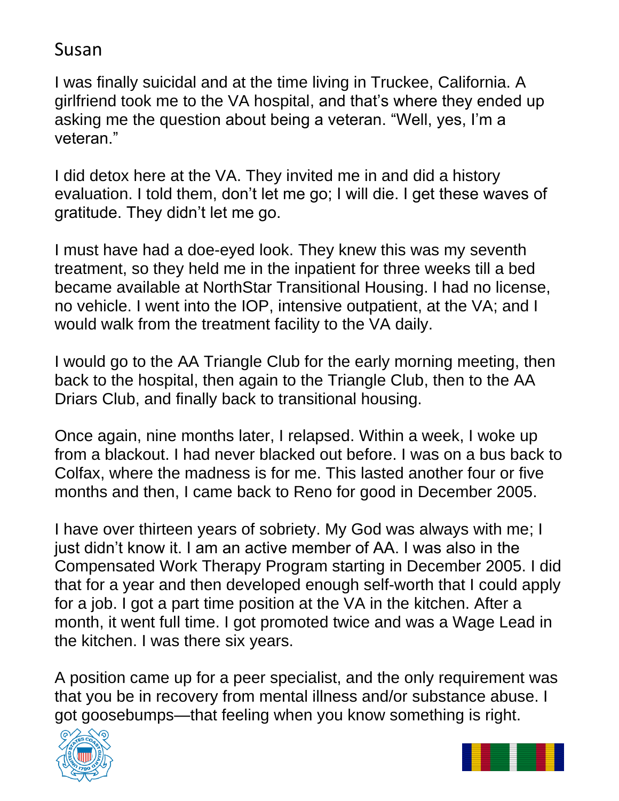I was finally suicidal and at the time living in Truckee, California. A girlfriend took me to the VA hospital, and that's where they ended up asking me the question about being a veteran. "Well, yes, I'm a veteran."

I did detox here at the VA. They invited me in and did a history evaluation. I told them, don't let me go; I will die. I get these waves of gratitude. They didn't let me go.

I must have had a doe-eyed look. They knew this was my seventh treatment, so they held me in the inpatient for three weeks till a bed became available at NorthStar Transitional Housing. I had no license, no vehicle. I went into the IOP, intensive outpatient, at the VA; and I would walk from the treatment facility to the VA daily.

I would go to the AA Triangle Club for the early morning meeting, then back to the hospital, then again to the Triangle Club, then to the AA Driars Club, and finally back to transitional housing.

Once again, nine months later, I relapsed. Within a week, I woke up from a blackout. I had never blacked out before. I was on a bus back to Colfax, where the madness is for me. This lasted another four or five months and then, I came back to Reno for good in December 2005.

I have over thirteen years of sobriety. My God was always with me; I just didn't know it. I am an active member of AA. I was also in the Compensated Work Therapy Program starting in December 2005. I did that for a year and then developed enough self-worth that I could apply for a job. I got a part time position at the VA in the kitchen. After a month, it went full time. I got promoted twice and was a Wage Lead in the kitchen. I was there six years.

A position came up for a peer specialist, and the only requirement was that you be in recovery from mental illness and/or substance abuse. I got goosebumps—that feeling when you know something is right.



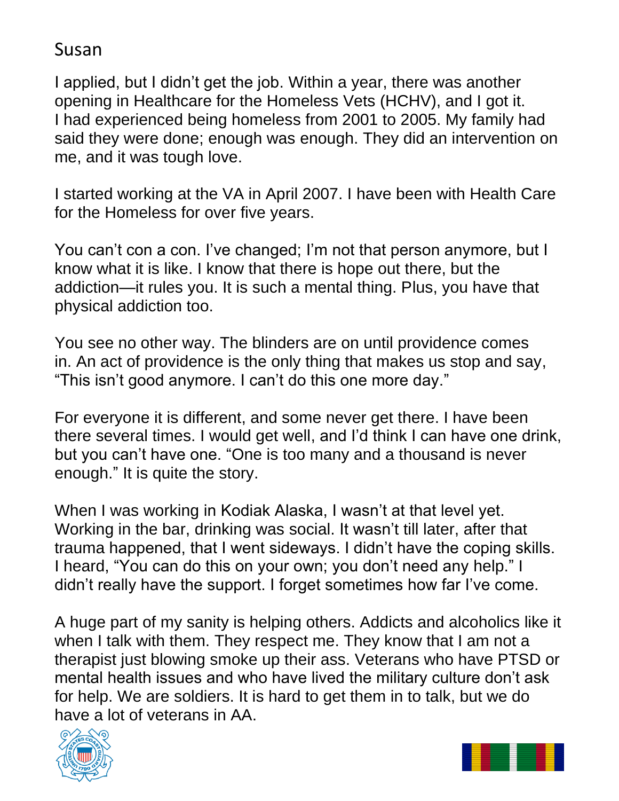I applied, but I didn't get the job. Within a year, there was another opening in Healthcare for the Homeless Vets (HCHV), and I got it. I had experienced being homeless from 2001 to 2005. My family had said they were done; enough was enough. They did an intervention on me, and it was tough love.

I started working at the VA in April 2007. I have been with Health Care for the Homeless for over five years.

You can't con a con. I've changed; I'm not that person anymore, but I know what it is like. I know that there is hope out there, but the addiction—it rules you. It is such a mental thing. Plus, you have that physical addiction too.

You see no other way. The blinders are on until providence comes in. An act of providence is the only thing that makes us stop and say, "This isn't good anymore. I can't do this one more day."

For everyone it is different, and some never get there. I have been there several times. I would get well, and I'd think I can have one drink, but you can't have one. "One is too many and a thousand is never enough." It is quite the story.

When I was working in Kodiak Alaska, I wasn't at that level yet. Working in the bar, drinking was social. It wasn't till later, after that trauma happened, that I went sideways. I didn't have the coping skills. I heard, "You can do this on your own; you don't need any help." I didn't really have the support. I forget sometimes how far I've come.

A huge part of my sanity is helping others. Addicts and alcoholics like it when I talk with them. They respect me. They know that I am not a therapist just blowing smoke up their ass. Veterans who have PTSD or mental health issues and who have lived the military culture don't ask for help. We are soldiers. It is hard to get them in to talk, but we do have a lot of veterans in AA.